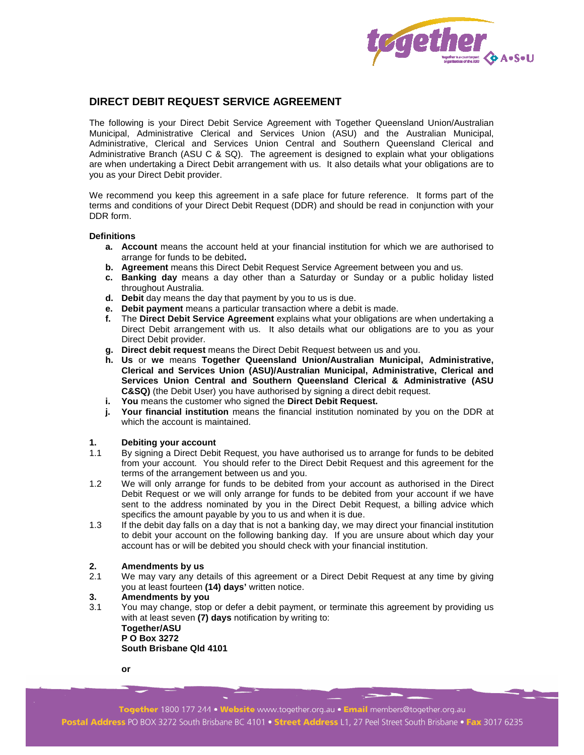

# **DIRECT DEBIT REQUEST SERVICE AGREEMENT**

The following is your Direct Debit Service Agreement with Together Queensland Union/Australian Municipal, Administrative Clerical and Services Union (ASU) and the Australian Municipal, Administrative, Clerical and Services Union Central and Southern Queensland Clerical and Administrative Branch (ASU C & SQ). The agreement is designed to explain what your obligations are when undertaking a Direct Debit arrangement with us. It also details what your obligations are to you as your Direct Debit provider.

We recommend you keep this agreement in a safe place for future reference. It forms part of the terms and conditions of your Direct Debit Request (DDR) and should be read in conjunction with your DDR form.

#### **Definitions**

- **a. Account** means the account held at your financial institution for which we are authorised to arrange for funds to be debited**.**
- **b. Agreement** means this Direct Debit Request Service Agreement between you and us.
- **c. Banking day** means a day other than a Saturday or Sunday or a public holiday listed throughout Australia.
- **d. Debit** day means the day that payment by you to us is due.
- **e. Debit payment** means a particular transaction where a debit is made.
- **f.** The **Direct Debit Service Agreement** explains what your obligations are when undertaking a Direct Debit arrangement with us. It also details what our obligations are to you as your Direct Debit provider.
- **g. Direct debit request** means the Direct Debit Request between us and you.
- **h. Us** or **we** means **Together Queensland Union/Australian Municipal, Administrative, Clerical and Services Union (ASU)/Australian Municipal, Administrative, Clerical and Services Union Central and Southern Queensland Clerical & Administrative (ASU C&SQ)** (the Debit User) you have authorised by signing a direct debit request.
- **i. You** means the customer who signed the **Direct Debit Request.**
- **j. Your financial institution** means the financial institution nominated by you on the DDR at which the account is maintained.

## **1. Debiting your account**

- 1.1 By signing a Direct Debit Request, you have authorised us to arrange for funds to be debited from your account. You should refer to the Direct Debit Request and this agreement for the terms of the arrangement between us and you.
- 1.2 We will only arrange for funds to be debited from your account as authorised in the Direct Debit Request or we will only arrange for funds to be debited from your account if we have sent to the address nominated by you in the Direct Debit Request, a billing advice which specifics the amount payable by you to us and when it is due.
- 1.3 If the debit day falls on a day that is not a banking day, we may direct your financial institution to debit your account on the following banking day. If you are unsure about which day your account has or will be debited you should check with your financial institution.

#### **2. Amendments by us**

2.1 We may vary any details of this agreement or a Direct Debit Request at any time by giving you at least fourteen **(14) days'** written notice.

## **3. Amendments by you**

3.1 You may change, stop or defer a debit payment, or terminate this agreement by providing us with at least seven **(7) days** notification by writing to:

**Together/ASU P O Box 3272 South Brisbane Qld 4101** 

 **or** 

Together 1800 177 244 • Website www.together.org.au • Email members@together.org.au Postal Address PO BOX 3272 South Brisbane BC 4101 • Street Address L1, 27 Peel Street South Brisbane • Fax 3017 6235